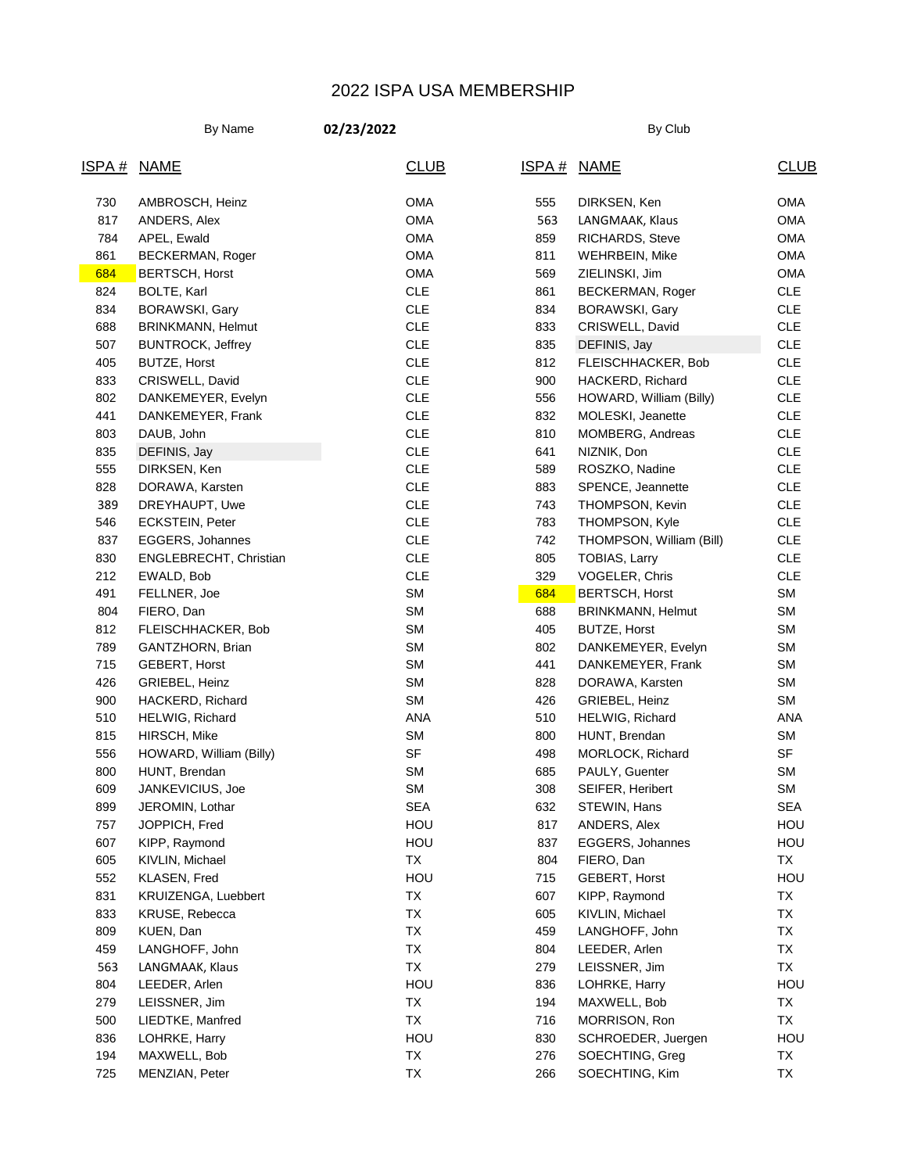## 2022 ISPA USA MEMBERSHIP

By Name **02/23/2022** By Name **By Club** 

| ISPA# | <b>NAME</b>              | <b>CLUB</b> | <u>ISPA#</u> | <b>NAME</b>              | <b>CLUB</b> |
|-------|--------------------------|-------------|--------------|--------------------------|-------------|
| 730   | AMBROSCH, Heinz          | <b>OMA</b>  | 555          | DIRKSEN, Ken             | <b>OMA</b>  |
| 817   | ANDERS, Alex             | <b>OMA</b>  | 563          | LANGMAAK, Klaus          | <b>OMA</b>  |
| 784   | APEL, Ewald              | <b>OMA</b>  | 859          | RICHARDS, Steve          | <b>OMA</b>  |
| 861   | BECKERMAN, Roger         | <b>OMA</b>  | 811          | <b>WEHRBEIN, Mike</b>    | <b>OMA</b>  |
| 684   | <b>BERTSCH, Horst</b>    | <b>OMA</b>  | 569          | ZIELINSKI, Jim           | <b>OMA</b>  |
| 824   | BOLTE, Karl              | CLE         | 861          | <b>BECKERMAN, Roger</b>  | <b>CLE</b>  |
| 834   | <b>BORAWSKI, Gary</b>    | <b>CLE</b>  | 834          | BORAWSKI, Gary           | <b>CLE</b>  |
| 688   | <b>BRINKMANN, Helmut</b> | <b>CLE</b>  | 833          | CRISWELL, David          | <b>CLE</b>  |
| 507   | <b>BUNTROCK, Jeffrey</b> | <b>CLE</b>  | 835          | DEFINIS, Jay             | <b>CLE</b>  |
| 405   | <b>BUTZE, Horst</b>      | CLE         | 812          | FLEISCHHACKER, Bob       | <b>CLE</b>  |
| 833   | CRISWELL, David          | <b>CLE</b>  | 900          | HACKERD, Richard         | CLE         |
| 802   | DANKEMEYER, Evelyn       | <b>CLE</b>  | 556          | HOWARD, William (Billy)  | CLE         |
| 441   | DANKEMEYER, Frank        | <b>CLE</b>  | 832          | MOLESKI, Jeanette        | CLE         |
| 803   | DAUB, John               | CLE         | 810          | MOMBERG, Andreas         | CLE         |
| 835   | DEFINIS, Jay             | CLE         | 641          | NIZNIK, Don              | CLE         |
| 555   | DIRKSEN, Ken             | <b>CLE</b>  | 589          | ROSZKO, Nadine           | CLE         |
| 828   | DORAWA, Karsten          | <b>CLE</b>  | 883          | SPENCE, Jeannette        | CLE         |
| 389   | DREYHAUPT, Uwe           | CLE         | 743          | THOMPSON, Kevin          | CLE         |
| 546   | <b>ECKSTEIN, Peter</b>   | CLE         | 783          | THOMPSON, Kyle           | CLE         |
| 837   | EGGERS, Johannes         | <b>CLE</b>  | 742          | THOMPSON, William (Bill) | CLE         |
| 830   | ENGLEBRECHT, Christian   | <b>CLE</b>  | 805          | TOBIAS, Larry            | CLE         |
| 212   | EWALD, Bob               | CLE         | 329          | VOGELER, Chris           | <b>CLE</b>  |
| 491   | FELLNER, Joe             | <b>SM</b>   | 684          | <b>BERTSCH, Horst</b>    | SM          |
| 804   | FIERO, Dan               | <b>SM</b>   | 688          | BRINKMANN, Helmut        | SM          |
| 812   | FLEISCHHACKER, Bob       | <b>SM</b>   | 405          | <b>BUTZE, Horst</b>      | SM          |
| 789   | GANTZHORN, Brian         | <b>SM</b>   | 802          | DANKEMEYER, Evelyn       | SM          |
| 715   | GEBERT, Horst            | <b>SM</b>   | 441          | DANKEMEYER, Frank        | SM          |
| 426   | GRIEBEL, Heinz           | <b>SM</b>   | 828          | DORAWA, Karsten          | SM          |
| 900   | HACKERD, Richard         | <b>SM</b>   | 426          | GRIEBEL, Heinz           | SM          |
| 510   | HELWIG, Richard          | ANA         | 510          | HELWIG, Richard          | <b>ANA</b>  |
| 815   | HIRSCH, Mike             | <b>SM</b>   | 800          | HUNT, Brendan            | SM          |
| 556   | HOWARD, William (Billy)  | SF          | 498          | MORLOCK, Richard         | SF          |
| 800   | HUNT, Brendan            | <b>SM</b>   | 685          | PAULY, Guenter           | SM          |
| 609   | JANKEVICIUS, Joe         | <b>SM</b>   | 308          | SEIFER, Heribert         | SM          |
| 899   | JEROMIN, Lothar          | <b>SEA</b>  | 632          | STEWIN, Hans             | <b>SEA</b>  |
| 757   | JOPPICH, Fred            | HOU         | 817          | ANDERS, Alex             | HOU         |
| 607   | KIPP, Raymond            | HOU         | 837          | EGGERS, Johannes         | HOU         |
| 605   | KIVLIN, Michael          | TX          | 804          | FIERO, Dan               | TX          |
| 552   | KLASEN, Fred             | HOU         | 715          | GEBERT, Horst            | HOU         |
| 831   | KRUIZENGA, Luebbert      | TX          | 607          | KIPP, Raymond            | TX          |
| 833   | KRUSE, Rebecca           | TX          | 605          | KIVLIN, Michael          | TX          |
| 809   | KUEN, Dan                | TX          | 459          | LANGHOFF, John           | TX          |
| 459   | LANGHOFF, John           | TX          | 804          | LEEDER, Arlen            | TX          |
| 563   | LANGMAAK, Klaus          | TX          | 279          | LEISSNER, Jim            | TX          |
| 804   | LEEDER, Arlen            | HOU         | 836          | LOHRKE, Harry            | HOU         |
| 279   | LEISSNER, Jim            | TX          | 194          | MAXWELL, Bob             | TX          |
| 500   | LIEDTKE, Manfred         | TX          | 716          | MORRISON, Ron            | TX          |
| 836   | LOHRKE, Harry            | HOU         | 830          | SCHROEDER, Juergen       | HOU         |
| 194   | MAXWELL, Bob             | TX          | 276          | SOECHTING, Greg          | TX          |
| 725   | MENZIAN, Peter           | TX          | 266          | SOECHTING, Kim           | TX          |
|       |                          |             |              |                          |             |